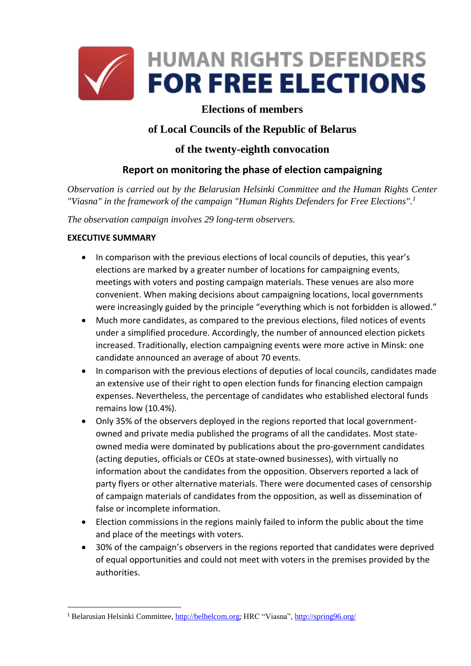

## **Elections of members**

# **of Local Councils of the Republic of Belarus**

## **of the twenty-eighth convocation**

# **Report on monitoring the phase of election campaigning**

*Observation is carried out by the Belarusian Helsinki Committee and the Human Rights Center "Viasna" in the framework of the campaign "Human Rights Defenders for Free Elections".<sup>1</sup>*

*The observation campaign involves 29 long-term observers.*

### **EXECUTIVE SUMMARY**

**.** 

- In comparison with the previous elections of local councils of deputies, this year's elections are marked by a greater number of locations for campaigning events, meetings with voters and posting campaign materials. These venues are also more convenient. When making decisions about campaigning locations, local governments were increasingly guided by the principle "everything which is not forbidden is allowed."
- Much more candidates, as compared to the previous elections, filed notices of events under a simplified procedure. Accordingly, the number of announced election pickets increased. Traditionally, election campaigning events were more active in Minsk: one candidate announced an average of about 70 events.
- In comparison with the previous elections of deputies of local councils, candidates made an extensive use of their right to open election funds for financing election campaign expenses. Nevertheless, the percentage of candidates who established electoral funds remains low (10.4%).
- Only 35% of the observers deployed in the regions reported that local governmentowned and private media published the programs of all the candidates. Most stateowned media were dominated by publications about the pro-government candidates (acting deputies, officials or CEOs at state-owned businesses), with virtually no information about the candidates from the opposition. Observers reported a lack of party flyers or other alternative materials. There were documented cases of censorship of campaign materials of candidates from the opposition, as well as dissemination of false or incomplete information.
- Election commissions in the regions mainly failed to inform the public about the time and place of the meetings with voters.
- 30% of the campaign's observers in the regions reported that candidates were deprived of equal opportunities and could not meet with voters in the premises provided by the authorities.

<sup>&</sup>lt;sup>1</sup> Belarusian Helsinki Committee[, http://belhelcom.org](http://belhelcom.org/); HRC "Viasna"[, http://spring96.org/](http://elections2018.spring96.org/en)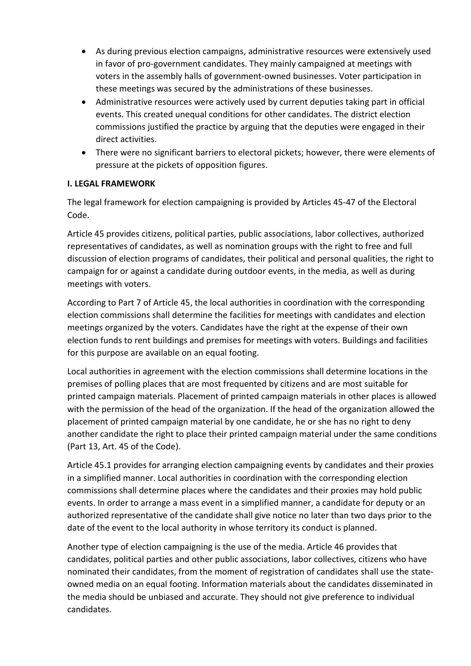- As during previous election campaigns, administrative resources were extensively used in favor of pro-government candidates. They mainly campaigned at meetings with voters in the assembly halls of government-owned businesses. Voter participation in these meetings was secured by the administrations of these businesses.
- Administrative resources were actively used by current deputies taking part in official events. This created unequal conditions for other candidates. The district election commissions justified the practice by arguing that the deputies were engaged in their direct activities.
- There were no significant barriers to electoral pickets; however, there were elements of pressure at the pickets of opposition figures.

### **I. LEGAL FRAMEWORK**

The legal framework for election campaigning is provided by Articles 45-47 of the Electoral Code.

Article 45 provides citizens, political parties, public associations, labor collectives, authorized representatives of candidates, as well as nomination groups with the right to free and full discussion of election programs of candidates, their political and personal qualities, the right to campaign for or against a candidate during outdoor events, in the media, as well as during meetings with voters.

According to Part 7 of Article 45, the local authorities in coordination with the corresponding election commissions shall determine the facilities for meetings with candidates and election meetings organized by the voters. Candidates have the right at the expense of their own election funds to rent buildings and premises for meetings with voters. Buildings and facilities for this purpose are available on an equal footing.

Local authorities in agreement with the election commissions shall determine locations in the premises of polling places that are most frequented by citizens and are most suitable for printed campaign materials. Placement of printed campaign materials in other places is allowed with the permission of the head of the organization. If the head of the organization allowed the placement of printed campaign material by one candidate, he or she has no right to deny another candidate the right to place their printed campaign material under the same conditions (Part 13, Art. 45 of the Code).

Article 45.1 provides for arranging election campaigning events by candidates and their proxies in a simplified manner. Local authorities in coordination with the corresponding election commissions shall determine places where the candidates and their proxies may hold public events. In order to arrange a mass event in a simplified manner, a candidate for deputy or an authorized representative of the candidate shall give notice no later than two days prior to the date of the event to the local authority in whose territory its conduct is planned.

Another type of election campaigning is the use of the media. Article 46 provides that candidates, political parties and other public associations, labor collectives, citizens who have nominated their candidates, from the moment of registration of candidates shall use the stateowned media on an equal footing. Information materials about the candidates disseminated in the media should be unbiased and accurate. They should not give preference to individual candidates.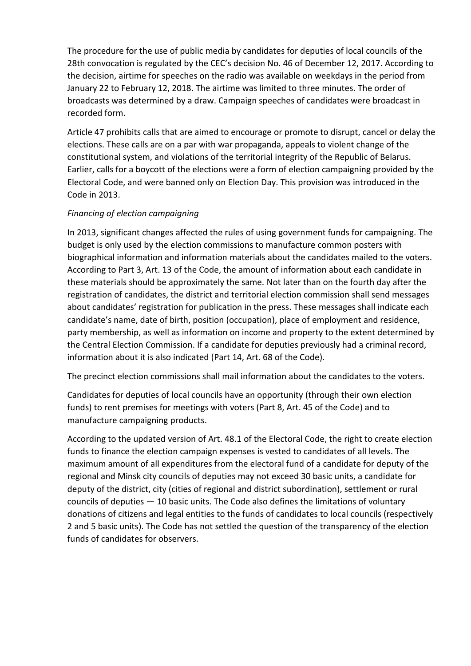The procedure for the use of public media by candidates for deputies of local councils of the 28th convocation is regulated by the CEC's decision No. 46 of December 12, 2017. According to the decision, airtime for speeches on the radio was available on weekdays in the period from January 22 to February 12, 2018. The airtime was limited to three minutes. The order of broadcasts was determined by a draw. Campaign speeches of candidates were broadcast in recorded form.

Article 47 prohibits calls that are aimed to encourage or promote to disrupt, cancel or delay the elections. These calls are on a par with war propaganda, appeals to violent change of the constitutional system, and violations of the territorial integrity of the Republic of Belarus. Earlier, calls for a boycott of the elections were a form of election campaigning provided by the Electoral Code, and were banned only on Election Day. This provision was introduced in the Code in 2013.

## *Financing of election campaigning*

In 2013, significant changes affected the rules of using government funds for campaigning. The budget is only used by the election commissions to manufacture common posters with biographical information and information materials about the candidates mailed to the voters. According to Part 3, Art. 13 of the Code, the amount of information about each candidate in these materials should be approximately the same. Not later than on the fourth day after the registration of candidates, the district and territorial election commission shall send messages about candidates' registration for publication in the press. These messages shall indicate each candidate's name, date of birth, position (occupation), place of employment and residence, party membership, as well as information on income and property to the extent determined by the Central Election Commission. If a candidate for deputies previously had a criminal record, information about it is also indicated (Part 14, Art. 68 of the Code).

The precinct election commissions shall mail information about the candidates to the voters.

Candidates for deputies of local councils have an opportunity (through their own election funds) to rent premises for meetings with voters (Part 8, Art. 45 of the Code) and to manufacture campaigning products.

According to the updated version of Art. 48.1 of the Electoral Code, the right to create election funds to finance the election campaign expenses is vested to candidates of all levels. The maximum amount of all expenditures from the electoral fund of a candidate for deputy of the regional and Minsk city councils of deputies may not exceed 30 basic units, a candidate for deputy of the district, city (cities of regional and district subordination), settlement or rural councils of deputies — 10 basic units. The Code also defines the limitations of voluntary donations of citizens and legal entities to the funds of candidates to local councils (respectively 2 and 5 basic units). The Code has not settled the question of the transparency of the election funds of candidates for observers.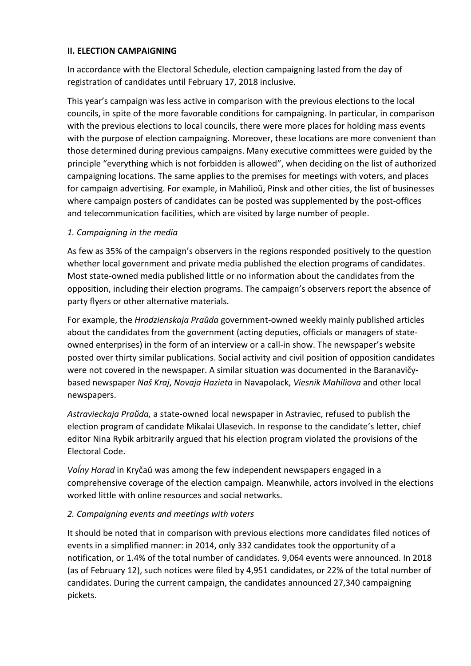#### **II. ELECTION CAMPAIGNING**

In accordance with the Electoral Schedule, election campaigning lasted from the day of registration of candidates until February 17, 2018 inclusive.

This year's campaign was less active in comparison with the previous elections to the local councils, in spite of the more favorable conditions for campaigning. In particular, in comparison with the previous elections to local councils, there were more places for holding mass events with the purpose of election campaigning. Moreover, these locations are more convenient than those determined during previous campaigns. Many executive committees were guided by the principle "everything which is not forbidden is allowed", when deciding on the list of authorized campaigning locations. The same applies to the premises for meetings with voters, and places for campaign advertising. For example, in Mahilioŭ, Pinsk and other cities, the list of businesses where campaign posters of candidates can be posted was supplemented by the post-offices and telecommunication facilities, which are visited by large number of people.

### *1. Campaigning in the media*

As few as 35% of the campaign's observers in the regions responded positively to the question whether local government and private media published the election programs of candidates. Most state-owned media published little or no information about the candidates from the opposition, including their election programs. The campaign's observers report the absence of party flyers or other alternative materials.

For example, the *Hrodzienskaja Praŭda* government-owned weekly mainly published articles about the candidates from the government (acting deputies, officials or managers of stateowned enterprises) in the form of an interview or a call-in show. The newspaper's website posted over thirty similar publications. Social activity and civil position of opposition candidates were not covered in the newspaper. A similar situation was documented in the Baranavičybased newspaper *Naš Kraj*, *Novaja Hazieta* in Navapolack, *Viesnik Mahiliova* and other local newspapers.

*Astravieckaja Praŭda,* a state-owned local newspaper in Astraviec, refused to publish the election program of candidate Mikalai Ulasevich. In response to the candidate's letter, chief editor Nina Rybik arbitrarily argued that his election program violated the provisions of the Electoral Code.

*Voĺny Horad* in Kryčaŭ was among the few independent newspapers engaged in a comprehensive coverage of the election campaign. Meanwhile, actors involved in the elections worked little with online resources and social networks.

### *2. Campaigning events and meetings with voters*

It should be noted that in comparison with previous elections more candidates filed notices of events in a simplified manner: in 2014, only 332 candidates took the opportunity of a notification, or 1.4% of the total number of candidates. 9,064 events were announced. In 2018 (as of February 12), such notices were filed by 4,951 candidates, or 22% of the total number of candidates. During the current campaign, the candidates announced 27,340 campaigning pickets.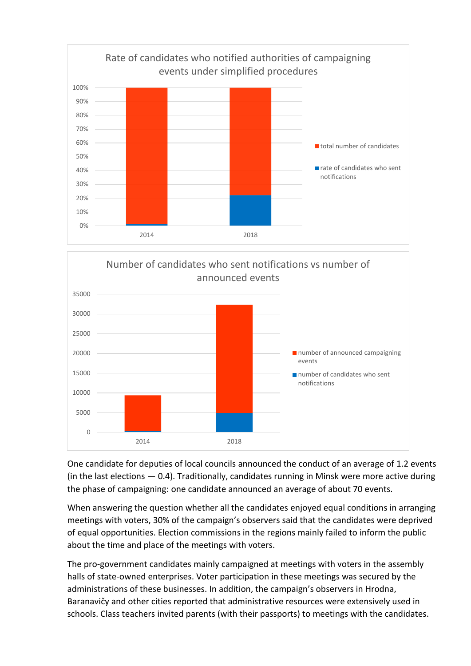



One candidate for deputies of local councils announced the conduct of an average of 1.2 events (in the last elections  $-$  0.4). Traditionally, candidates running in Minsk were more active during the phase of campaigning: one candidate announced an average of about 70 events.

When answering the question whether all the candidates enjoyed equal conditions in arranging meetings with voters, 30% of the campaign's observers said that the candidates were deprived of equal opportunities. Election commissions in the regions mainly failed to inform the public about the time and place of the meetings with voters.

The pro-government candidates mainly campaigned at meetings with voters in the assembly halls of state-owned enterprises. Voter participation in these meetings was secured by the administrations of these businesses. In addition, the campaign's observers in Hrodna, Baranavičy and other cities reported that administrative resources were extensively used in schools. Class teachers invited parents (with their passports) to meetings with the candidates.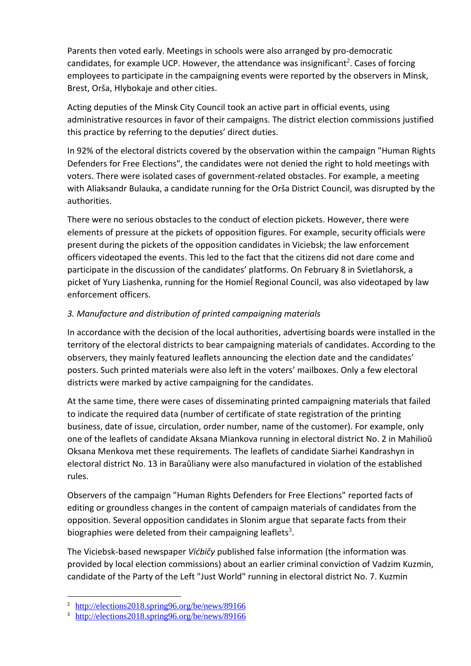Parents then voted early. Meetings in schools were also arranged by pro-democratic candidates, for example UCP. However, the attendance was insignificant<sup>2</sup>. Cases of forcing employees to participate in the campaigning events were reported by the observers in Minsk, Brest, Orša, Hlybokaje and other cities.

Acting deputies of the Minsk City Council took an active part in official events, using administrative resources in favor of their campaigns. The district election commissions justified this practice by referring to the deputies' direct duties.

In 92% of the electoral districts covered by the observation within the campaign "Human Rights Defenders for Free Elections", the candidates were not denied the right to hold meetings with voters. There were isolated cases of government-related obstacles. For example, a meeting with Aliaksandr Bulauka, a candidate running for the Orša District Council, was disrupted by the authorities.

There were no serious obstacles to the conduct of election pickets. However, there were elements of pressure at the pickets of opposition figures. For example, security officials were present during the pickets of the opposition candidates in Viciebsk; the law enforcement officers videotaped the events. This led to the fact that the citizens did not dare come and participate in the discussion of the candidates' platforms. On February 8 in Svietlahorsk, a picket of Yury Liashenka, running for the Homieĺ Regional Council, was also videotaped by law enforcement officers.

## *3. Manufacture and distribution of printed campaigning materials*

In accordance with the decision of the local authorities, advertising boards were installed in the territory of the electoral districts to bear campaigning materials of candidates. According to the observers, they mainly featured leaflets announcing the election date and the candidates' posters. Such printed materials were also left in the voters' mailboxes. Only a few electoral districts were marked by active campaigning for the candidates.

At the same time, there were cases of disseminating printed campaigning materials that failed to indicate the required data (number of certificate of state registration of the printing business, date of issue, circulation, order number, name of the customer). For example, only one of the leaflets of candidate Aksana Miankova running in electoral district No. 2 in Mahilioŭ Oksana Menkova met these requirements. The leaflets of candidate Siarhei Kandrashyn in electoral district No. 13 in Baraŭliany were also manufactured in violation of the established rules.

Observers of the campaign "Human Rights Defenders for Free Elections" reported facts of editing or groundless changes in the content of campaign materials of candidates from the opposition. Several opposition candidates in Slonim argue that separate facts from their biographies were deleted from their campaigning leaflets<sup>3</sup>.

The Viciebsk-based newspaper *Vićbičy* published false information (the information was provided by local election commissions) about an earlier criminal conviction of Vadzim Kuzmin, candidate of the Party of the Left "Just World" running in electoral district No. 7. Kuzmin

1

<sup>&</sup>lt;sup>2</sup> <http://elections2018.spring96.org/be/news/89166>

<sup>&</sup>lt;sup>3</sup> <http://elections2018.spring96.org/be/news/89166>